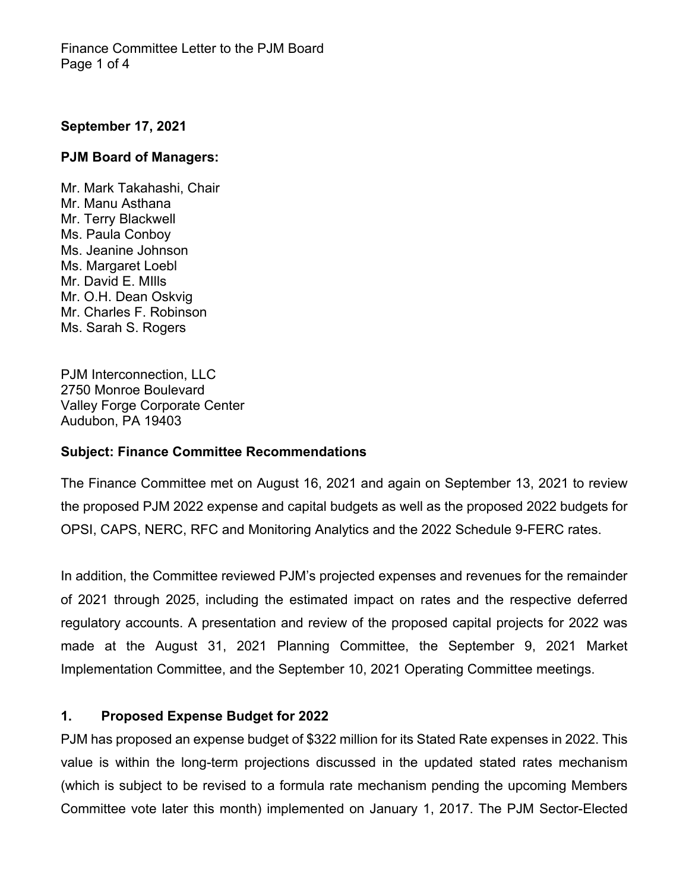## **September 17, 2021**

### **PJM Board of Managers:**

Mr. Mark Takahashi, Chair Mr. Manu Asthana Mr. Terry Blackwell Ms. Paula Conboy Ms. Jeanine Johnson Ms. Margaret Loebl Mr. David E. MIlls Mr. O.H. Dean Oskvig Mr. Charles F. Robinson Ms. Sarah S. Rogers

PJM Interconnection, LLC 2750 Monroe Boulevard Valley Forge Corporate Center Audubon, PA 19403

### **Subject: Finance Committee Recommendations**

The Finance Committee met on August 16, 2021 and again on September 13, 2021 to review the proposed PJM 2022 expense and capital budgets as well as the proposed 2022 budgets for OPSI, CAPS, NERC, RFC and Monitoring Analytics and the 2022 Schedule 9-FERC rates.

In addition, the Committee reviewed PJM's projected expenses and revenues for the remainder of 2021 through 2025, including the estimated impact on rates and the respective deferred regulatory accounts. A presentation and review of the proposed capital projects for 2022 was made at the August 31, 2021 Planning Committee, the September 9, 2021 Market Implementation Committee, and the September 10, 2021 Operating Committee meetings.

### **1. Proposed Expense Budget for 2022**

PJM has proposed an expense budget of \$322 million for its Stated Rate expenses in 2022. This value is within the long-term projections discussed in the updated stated rates mechanism (which is subject to be revised to a formula rate mechanism pending the upcoming Members Committee vote later this month) implemented on January 1, 2017. The PJM Sector-Elected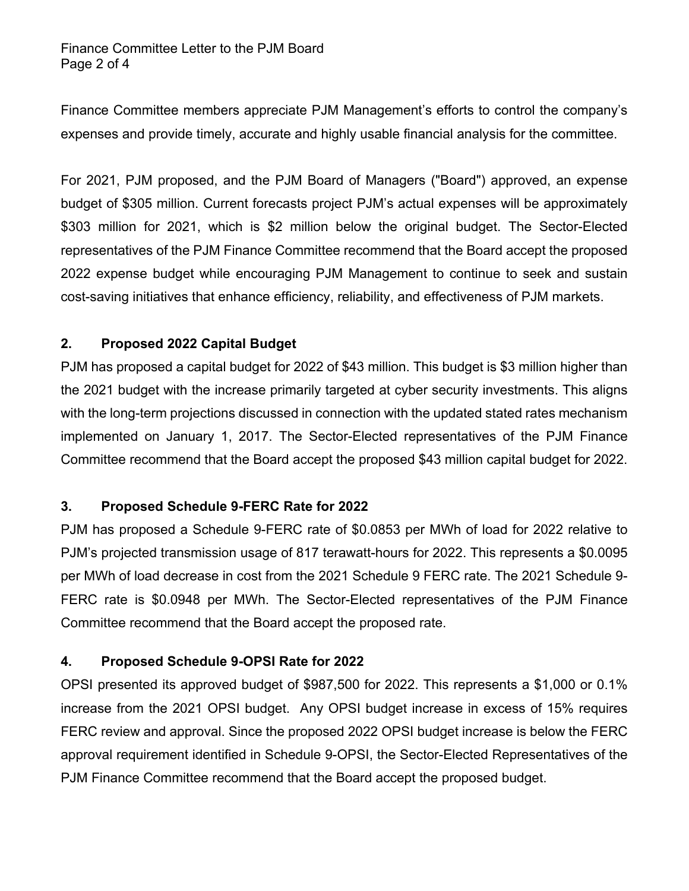Finance Committee members appreciate PJM Management's efforts to control the company's expenses and provide timely, accurate and highly usable financial analysis for the committee.

For 2021, PJM proposed, and the PJM Board of Managers ("Board") approved, an expense budget of \$305 million. Current forecasts project PJM's actual expenses will be approximately \$303 million for 2021, which is \$2 million below the original budget. The Sector-Elected representatives of the PJM Finance Committee recommend that the Board accept the proposed 2022 expense budget while encouraging PJM Management to continue to seek and sustain cost-saving initiatives that enhance efficiency, reliability, and effectiveness of PJM markets.

# **2. Proposed 2022 Capital Budget**

PJM has proposed a capital budget for 2022 of \$43 million. This budget is \$3 million higher than the 2021 budget with the increase primarily targeted at cyber security investments. This aligns with the long-term projections discussed in connection with the updated stated rates mechanism implemented on January 1, 2017. The Sector-Elected representatives of the PJM Finance Committee recommend that the Board accept the proposed \$43 million capital budget for 2022.

# **3. Proposed Schedule 9-FERC Rate for 2022**

PJM has proposed a Schedule 9-FERC rate of \$0.0853 per MWh of load for 2022 relative to PJM's projected transmission usage of 817 terawatt-hours for 2022. This represents a \$0.0095 per MWh of load decrease in cost from the 2021 Schedule 9 FERC rate. The 2021 Schedule 9- FERC rate is \$0.0948 per MWh. The Sector-Elected representatives of the PJM Finance Committee recommend that the Board accept the proposed rate.

# **4. Proposed Schedule 9-OPSI Rate for 2022**

OPSI presented its approved budget of \$987,500 for 2022. This represents a \$1,000 or 0.1% increase from the 2021 OPSI budget. Any OPSI budget increase in excess of 15% requires FERC review and approval. Since the proposed 2022 OPSI budget increase is below the FERC approval requirement identified in Schedule 9-OPSI, the Sector-Elected Representatives of the PJM Finance Committee recommend that the Board accept the proposed budget.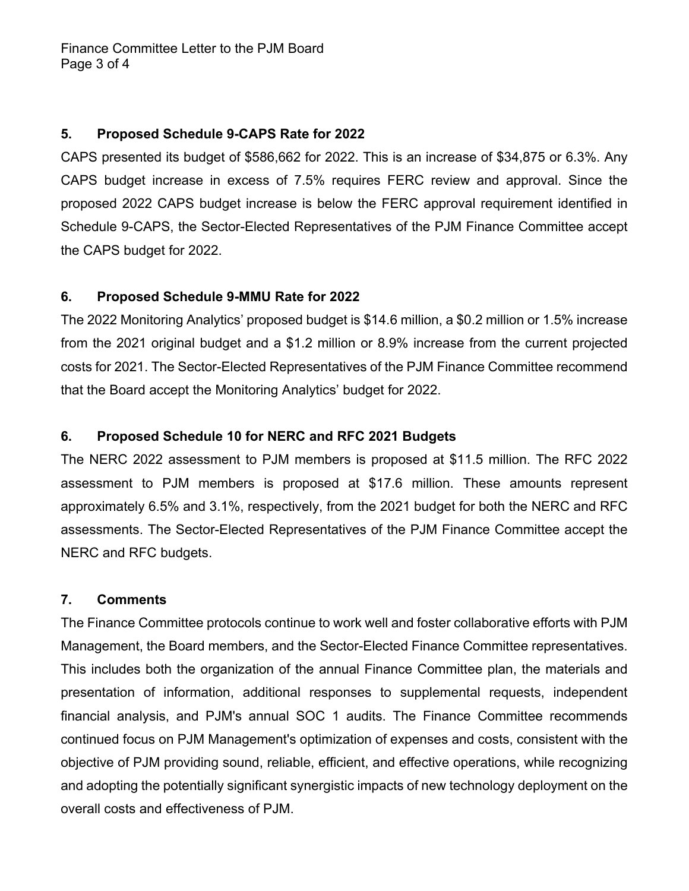## **5. Proposed Schedule 9-CAPS Rate for 2022**

CAPS presented its budget of \$586,662 for 2022. This is an increase of \$34,875 or 6.3%. Any CAPS budget increase in excess of 7.5% requires FERC review and approval. Since the proposed 2022 CAPS budget increase is below the FERC approval requirement identified in Schedule 9-CAPS, the Sector-Elected Representatives of the PJM Finance Committee accept the CAPS budget for 2022.

# **6. Proposed Schedule 9-MMU Rate for 2022**

The 2022 Monitoring Analytics' proposed budget is \$14.6 million, a \$0.2 million or 1.5% increase from the 2021 original budget and a \$1.2 million or 8.9% increase from the current projected costs for 2021. The Sector-Elected Representatives of the PJM Finance Committee recommend that the Board accept the Monitoring Analytics' budget for 2022.

# **6. Proposed Schedule 10 for NERC and RFC 2021 Budgets**

The NERC 2022 assessment to PJM members is proposed at \$11.5 million. The RFC 2022 assessment to PJM members is proposed at \$17.6 million. These amounts represent approximately 6.5% and 3.1%, respectively, from the 2021 budget for both the NERC and RFC assessments. The Sector-Elected Representatives of the PJM Finance Committee accept the NERC and RFC budgets.

## **7. Comments**

The Finance Committee protocols continue to work well and foster collaborative efforts with PJM Management, the Board members, and the Sector-Elected Finance Committee representatives. This includes both the organization of the annual Finance Committee plan, the materials and presentation of information, additional responses to supplemental requests, independent financial analysis, and PJM's annual SOC 1 audits. The Finance Committee recommends continued focus on PJM Management's optimization of expenses and costs, consistent with the objective of PJM providing sound, reliable, efficient, and effective operations, while recognizing and adopting the potentially significant synergistic impacts of new technology deployment on the overall costs and effectiveness of PJM.